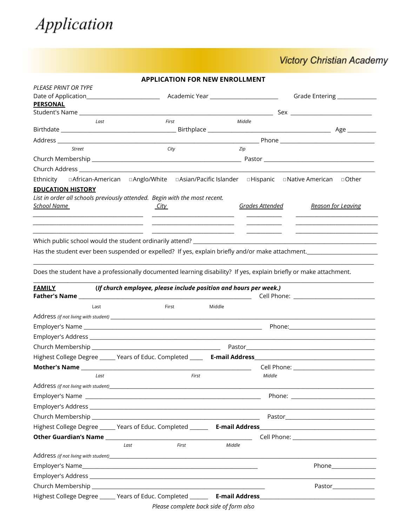

## **Victory Christian Academy**

 $\overline{\phantom{a}}$ 

L.

|                                                                                                                    |                                                                   | <b>APPLICATION FOR NEW ENROLLMENT</b>                       |        |                                       |                                                                                                                |
|--------------------------------------------------------------------------------------------------------------------|-------------------------------------------------------------------|-------------------------------------------------------------|--------|---------------------------------------|----------------------------------------------------------------------------------------------------------------|
| PLEASE PRINT OR TYPE                                                                                               |                                                                   |                                                             |        |                                       |                                                                                                                |
| Date of Application_______________________                                                                         |                                                                   |                                                             |        | Academic Year _______________________ | Grade Entering ___________                                                                                     |
| <b>PERSONAL</b>                                                                                                    |                                                                   |                                                             |        |                                       |                                                                                                                |
| Last                                                                                                               |                                                                   | First                                                       |        | Middle                                |                                                                                                                |
|                                                                                                                    |                                                                   |                                                             |        |                                       |                                                                                                                |
|                                                                                                                    |                                                                   |                                                             |        |                                       |                                                                                                                |
| Street                                                                                                             |                                                                   | City                                                        |        | Zip                                   |                                                                                                                |
|                                                                                                                    |                                                                   |                                                             |        |                                       |                                                                                                                |
|                                                                                                                    |                                                                   |                                                             |        |                                       |                                                                                                                |
| Ethnicity                                                                                                          |                                                                   |                                                             |        |                                       | □ African-American □ Anglo/White □ Asian/Pacific Islander □ Hispanic □ Native American □ Other                 |
| <b>EDUCATION HISTORY</b>                                                                                           |                                                                   |                                                             |        |                                       |                                                                                                                |
| List in order all schools previously attended. Begin with the most recent.                                         |                                                                   |                                                             |        |                                       |                                                                                                                |
| <u>School Name</u>                                                                                                 | <u>City</u>                                                       |                                                             |        | Grades Attended                       | <b>Reason for Leaving</b>                                                                                      |
|                                                                                                                    |                                                                   |                                                             |        |                                       |                                                                                                                |
|                                                                                                                    |                                                                   | <u> 1989 - Andrea Stadt Britain, amerikansk politiker (</u> |        |                                       |                                                                                                                |
|                                                                                                                    |                                                                   |                                                             |        |                                       |                                                                                                                |
|                                                                                                                    |                                                                   |                                                             |        |                                       | Has the student ever been suspended or expelled? If yes, explain briefly and/or make attachment.               |
|                                                                                                                    |                                                                   |                                                             |        |                                       |                                                                                                                |
|                                                                                                                    |                                                                   |                                                             |        |                                       |                                                                                                                |
| Does the student have a professionally documented learning disability? If yes, explain briefly or make attachment. |                                                                   |                                                             |        |                                       |                                                                                                                |
| <b>FAMILY</b>                                                                                                      | (If church employee, please include position and hours per week.) |                                                             |        |                                       |                                                                                                                |
|                                                                                                                    |                                                                   |                                                             |        |                                       | Cell Phone: ___________________                                                                                |
| Last                                                                                                               |                                                                   | First                                                       | Middle |                                       |                                                                                                                |
|                                                                                                                    |                                                                   |                                                             |        |                                       |                                                                                                                |
|                                                                                                                    |                                                                   |                                                             |        |                                       |                                                                                                                |
|                                                                                                                    |                                                                   |                                                             |        |                                       |                                                                                                                |
|                                                                                                                    |                                                                   |                                                             |        |                                       |                                                                                                                |
|                                                                                                                    |                                                                   |                                                             |        |                                       |                                                                                                                |
|                                                                                                                    |                                                                   |                                                             |        |                                       |                                                                                                                |
| Last                                                                                                               |                                                                   | <b>First</b>                                                |        | Middle                                |                                                                                                                |
|                                                                                                                    |                                                                   |                                                             |        |                                       |                                                                                                                |
|                                                                                                                    |                                                                   |                                                             |        |                                       |                                                                                                                |
|                                                                                                                    |                                                                   |                                                             |        |                                       |                                                                                                                |
|                                                                                                                    |                                                                   |                                                             |        |                                       |                                                                                                                |
|                                                                                                                    |                                                                   |                                                             |        |                                       | Highest College Degree ______ Years of Educ. Completed _______ E-mail Address_________________________________ |
|                                                                                                                    |                                                                   |                                                             |        |                                       |                                                                                                                |
|                                                                                                                    | Last                                                              | First                                                       | Middle |                                       |                                                                                                                |
|                                                                                                                    |                                                                   |                                                             |        |                                       |                                                                                                                |
|                                                                                                                    |                                                                   |                                                             |        |                                       |                                                                                                                |
|                                                                                                                    |                                                                   |                                                             |        |                                       |                                                                                                                |
|                                                                                                                    |                                                                   |                                                             |        |                                       |                                                                                                                |

Please complete back side of form also

Highest College Degree \_\_\_\_\_\_ Years of Educ. Completed \_\_\_\_\_\_\_ E-mail Address\_